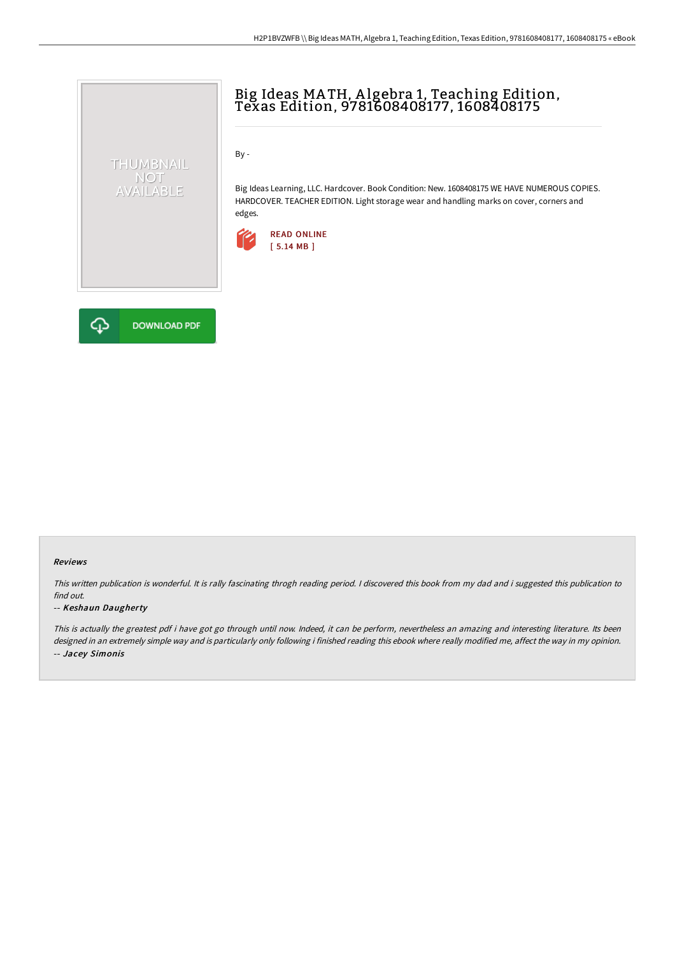

# Big Ideas MA TH, A lgebra 1, Teaching Edition, Texas Edition, 9781608408177, 1608408175

By -

Big Ideas Learning, LLC. Hardcover. Book Condition: New. 1608408175 WE HAVE NUMEROUS COPIES. HARDCOVER. TEACHER EDITION. Light storage wear and handling marks on cover, corners and edges.





#### Reviews

This written publication is wonderful. It is rally fascinating throgh reading period. <sup>I</sup> discovered this book from my dad and i suggested this publication to find out.

#### -- Keshaun Daugherty

This is actually the greatest pdf i have got go through until now. Indeed, it can be perform, nevertheless an amazing and interesting literature. Its been designed in an extremely simple way and is particularly only following i finished reading this ebook where really modified me, affect the way in my opinion. -- Jacey Simonis